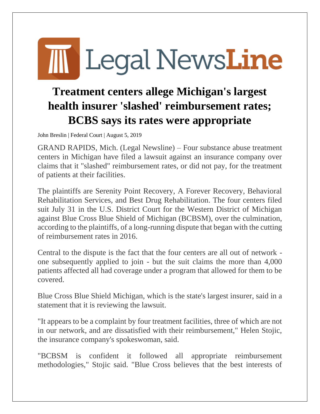## **M** Legal NewsLine

## **Treatment centers allege Michigan's largest health insurer 'slashed' reimbursement rates; BCBS says its rates were appropriate**

John Breslin | Federal Court | August 5, 2019

GRAND RAPIDS, Mich. (Legal Newsline) – Four substance abuse treatment centers in Michigan have filed a lawsuit against an insurance company over claims that it "slashed" reimbursement rates, or did not pay, for the treatment of patients at their facilities.

The plaintiffs are Serenity Point Recovery, A Forever Recovery, Behavioral Rehabilitation Services, and Best Drug Rehabilitation. The four centers filed suit July 31 in the U.S. District Court for the Western District of Michigan against Blue Cross Blue Shield of Michigan (BCBSM), over the culmination, according to the plaintiffs, of a long-running dispute that began with the cutting of reimbursement rates in 2016.

Central to the dispute is the fact that the four centers are all out of network one subsequently applied to join - but the suit claims the more than 4,000 patients affected all had coverage under a program that allowed for them to be covered.

Blue Cross Blue Shield Michigan, which is the state's largest insurer, said in a statement that it is reviewing the lawsuit.

"It appears to be a complaint by four treatment facilities, three of which are not in our network, and are dissatisfied with their reimbursement," Helen Stojic, the insurance company's spokeswoman, said.

"BCBSM is confident it followed all appropriate reimbursement methodologies," Stojic said. "Blue Cross believes that the best interests of